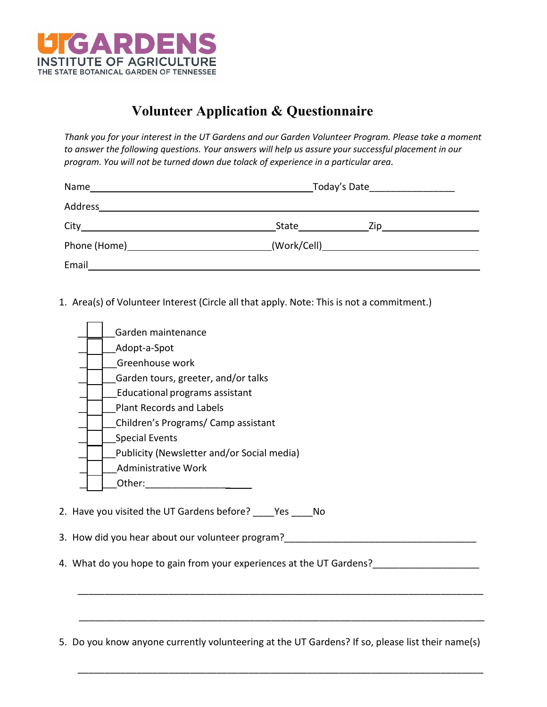

## **Volunteer Application & Questionnaire**

*Thank you for your interest in the UT Gardens and our Garden Volunteer Program. Please take a moment to answer the following questions. Your answers will help us assure your successful placement in our program. You will not be turned down due tolack of experience in a particular area.* 

| Name                                                                                                                                                                                                                           | Today's Date <b>Example 2</b>       |  |
|--------------------------------------------------------------------------------------------------------------------------------------------------------------------------------------------------------------------------------|-------------------------------------|--|
| Address                                                                                                                                                                                                                        |                                     |  |
| City in the contract of the contract of the contract of the contract of the contract of the contract of the contract of the contract of the contract of the contract of the contract of the contract of the contract of the co | State<br>Zip                        |  |
| Phone (Home) 2008 2012 2022 2023 2024 2022 2023 2024 2022 2023 2024 2022 2023 2024 2022 2023 2024 20                                                                                                                           | (Work/Cell)________________________ |  |
| Email                                                                                                                                                                                                                          |                                     |  |

1. Area(s) of Volunteer Interest (Circle all that apply. Note: This is not a commitment.)

| Garden maintenance                         |
|--------------------------------------------|
| Adopt-a-Spot                               |
| Greenhouse work                            |
| Garden tours, greeter, and/or talks        |
| Educational programs assistant             |
| <b>Plant Records and Labels</b>            |
| Children's Programs/ Camp assistant        |
| <b>Special Events</b>                      |
| Publicity (Newsletter and/or Social media) |
| <b>Administrative Work</b>                 |
| Other:                                     |
|                                            |

3. How did you hear about our volunteer program?\_\_\_\_\_\_\_\_\_\_\_\_\_\_\_\_\_\_\_\_\_\_\_\_\_\_\_\_\_\_\_\_\_\_\_\_

4. What do you hope to gain from your experiences at the UT Gardens?\_\_\_\_\_\_\_\_\_\_\_\_\_

5. Do you know anyone currently volunteering at the UT Gardens? If so, please list their name(s)

\_\_\_\_\_\_\_\_\_\_\_\_\_\_\_\_\_\_\_\_\_\_\_\_\_\_\_\_\_\_\_\_\_\_\_\_\_\_\_\_\_\_\_\_\_\_\_\_\_\_\_\_\_\_\_\_\_\_\_\_\_\_\_\_\_\_\_\_\_\_\_\_\_\_\_\_

\_\_\_\_\_\_\_\_\_\_\_\_\_\_\_\_\_\_\_\_\_\_\_\_\_\_\_\_\_\_\_\_\_\_\_\_\_\_\_\_\_\_\_\_\_\_\_\_\_\_\_\_\_\_\_\_\_\_\_\_\_\_\_\_\_\_\_\_\_\_\_\_\_\_\_\_

\_\_\_\_\_\_\_\_\_\_\_\_\_\_\_\_\_\_\_\_\_\_\_\_\_\_\_\_\_\_\_\_\_\_\_\_\_\_\_\_\_\_\_\_\_\_\_\_\_\_\_\_\_\_\_\_\_\_\_\_\_\_\_\_\_\_\_\_\_\_\_\_\_\_\_\_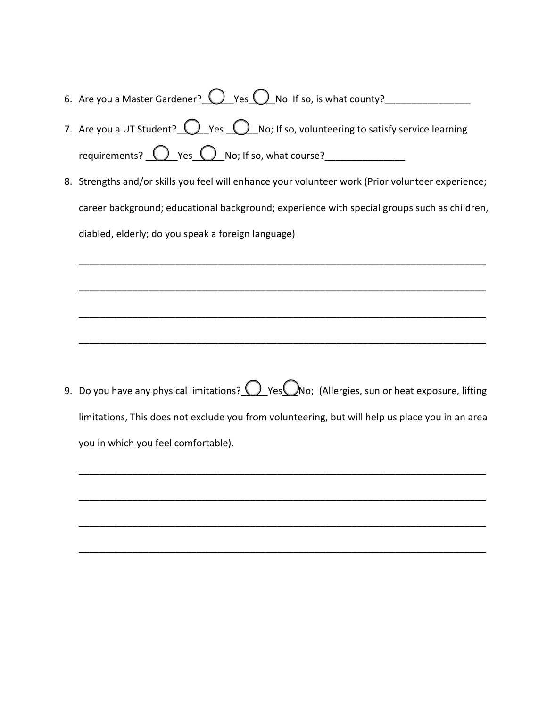- 6. Are you a Master Gardener?  $\bigcirc$  Yes  $\bigcirc$  No If so, is what county?
- 7. Are you a UT Student?  $\bigcirc$  Yes  $\bigcirc$  No; If so, volunteering to satisfy service learning requirements?  $\bigcirc$  Yes  $\bigcirc$  No; If so, what course?
- 8. Strengths and/or skills you feel will enhance your volunteer work (Prior volunteer experience; career background; educational background; experience with special groups such as children, diabled, elderly; do you speak a foreign language)

\_\_\_\_\_\_\_\_\_\_\_\_\_\_\_\_\_\_\_\_\_\_\_\_\_\_\_\_\_\_\_\_\_\_\_\_\_\_\_\_\_\_\_\_\_\_\_\_\_\_\_\_\_\_\_\_\_\_\_\_\_\_\_\_\_\_\_\_\_\_\_\_\_\_\_\_

\_\_\_\_\_\_\_\_\_\_\_\_\_\_\_\_\_\_\_\_\_\_\_\_\_\_\_\_\_\_\_\_\_\_\_\_\_\_\_\_\_\_\_\_\_\_\_\_\_\_\_\_\_\_\_\_\_\_\_\_\_\_\_\_\_\_\_\_\_\_\_\_\_\_\_\_

\_\_\_\_\_\_\_\_\_\_\_\_\_\_\_\_\_\_\_\_\_\_\_\_\_\_\_\_\_\_\_\_\_\_\_\_\_\_\_\_\_\_\_\_\_\_\_\_\_\_\_\_\_\_\_\_\_\_\_\_\_\_\_\_\_\_\_\_\_\_\_\_\_\_\_\_

\_\_\_\_\_\_\_\_\_\_\_\_\_\_\_\_\_\_\_\_\_\_\_\_\_\_\_\_\_\_\_\_\_\_\_\_\_\_\_\_\_\_\_\_\_\_\_\_\_\_\_\_\_\_\_\_\_\_\_\_\_\_\_\_\_\_\_\_\_\_\_\_\_\_\_\_

9. Do you have any physical limitations?  $\bigcirc$  Yes $\bigcirc$ No; (Allergies, sun or heat exposure, lifting limitations, This does not exclude you from volunteering, but will help us place you in an area you in which you feel comfortable).

\_\_\_\_\_\_\_\_\_\_\_\_\_\_\_\_\_\_\_\_\_\_\_\_\_\_\_\_\_\_\_\_\_\_\_\_\_\_\_\_\_\_\_\_\_\_\_\_\_\_\_\_\_\_\_\_\_\_\_\_\_\_\_\_\_\_\_\_\_\_\_\_\_\_\_\_

\_\_\_\_\_\_\_\_\_\_\_\_\_\_\_\_\_\_\_\_\_\_\_\_\_\_\_\_\_\_\_\_\_\_\_\_\_\_\_\_\_\_\_\_\_\_\_\_\_\_\_\_\_\_\_\_\_\_\_\_\_\_\_\_\_\_\_\_\_\_\_\_\_\_\_\_

\_\_\_\_\_\_\_\_\_\_\_\_\_\_\_\_\_\_\_\_\_\_\_\_\_\_\_\_\_\_\_\_\_\_\_\_\_\_\_\_\_\_\_\_\_\_\_\_\_\_\_\_\_\_\_\_\_\_\_\_\_\_\_\_\_\_\_\_\_\_\_\_\_\_\_\_

\_\_\_\_\_\_\_\_\_\_\_\_\_\_\_\_\_\_\_\_\_\_\_\_\_\_\_\_\_\_\_\_\_\_\_\_\_\_\_\_\_\_\_\_\_\_\_\_\_\_\_\_\_\_\_\_\_\_\_\_\_\_\_\_\_\_\_\_\_\_\_\_\_\_\_\_